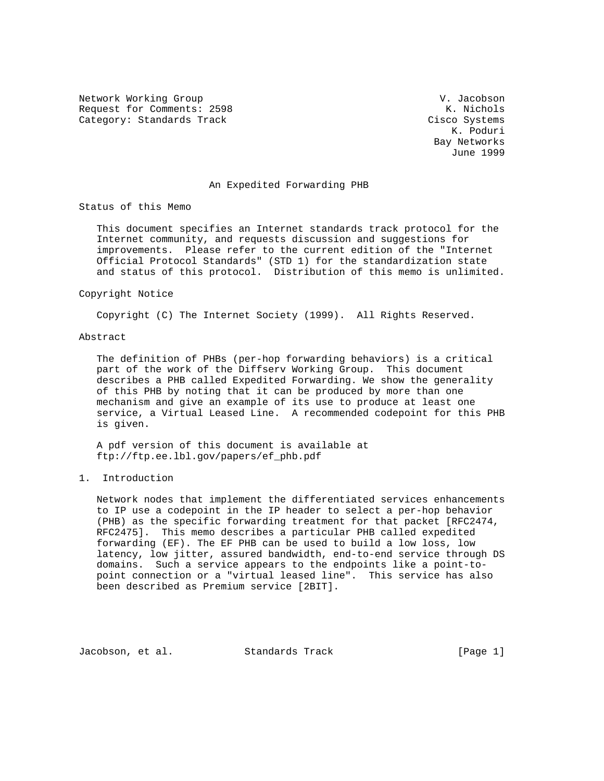Network Working Group and Communications of the V. Jacobson Request for Comments: 2598 K. Nichols Category: Standards Track Cisco Systems

 K. Poduri Bay Networks June 1999

#### An Expedited Forwarding PHB

Status of this Memo

 This document specifies an Internet standards track protocol for the Internet community, and requests discussion and suggestions for improvements. Please refer to the current edition of the "Internet Official Protocol Standards" (STD 1) for the standardization state and status of this protocol. Distribution of this memo is unlimited.

#### Copyright Notice

Copyright (C) The Internet Society (1999). All Rights Reserved.

#### Abstract

 The definition of PHBs (per-hop forwarding behaviors) is a critical part of the work of the Diffserv Working Group. This document describes a PHB called Expedited Forwarding. We show the generality of this PHB by noting that it can be produced by more than one mechanism and give an example of its use to produce at least one service, a Virtual Leased Line. A recommended codepoint for this PHB is given.

 A pdf version of this document is available at ftp://ftp.ee.lbl.gov/papers/ef\_phb.pdf

# 1. Introduction

 Network nodes that implement the differentiated services enhancements to IP use a codepoint in the IP header to select a per-hop behavior (PHB) as the specific forwarding treatment for that packet [RFC2474, RFC2475]. This memo describes a particular PHB called expedited forwarding (EF). The EF PHB can be used to build a low loss, low latency, low jitter, assured bandwidth, end-to-end service through DS domains. Such a service appears to the endpoints like a point-to point connection or a "virtual leased line". This service has also been described as Premium service [2BIT].

Jacobson, et al. Standards Track [Page 1]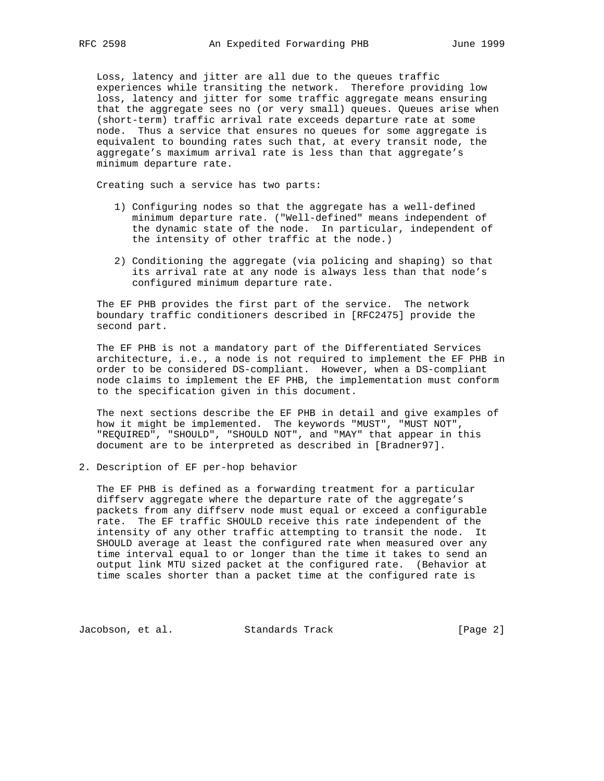Loss, latency and jitter are all due to the queues traffic experiences while transiting the network. Therefore providing low loss, latency and jitter for some traffic aggregate means ensuring that the aggregate sees no (or very small) queues. Queues arise when (short-term) traffic arrival rate exceeds departure rate at some node. Thus a service that ensures no queues for some aggregate is equivalent to bounding rates such that, at every transit node, the aggregate's maximum arrival rate is less than that aggregate's minimum departure rate.

Creating such a service has two parts:

- 1) Configuring nodes so that the aggregate has a well-defined minimum departure rate. ("Well-defined" means independent of the dynamic state of the node. In particular, independent of the intensity of other traffic at the node.)
- 2) Conditioning the aggregate (via policing and shaping) so that its arrival rate at any node is always less than that node's configured minimum departure rate.

 The EF PHB provides the first part of the service. The network boundary traffic conditioners described in [RFC2475] provide the second part.

 The EF PHB is not a mandatory part of the Differentiated Services architecture, i.e., a node is not required to implement the EF PHB in order to be considered DS-compliant. However, when a DS-compliant node claims to implement the EF PHB, the implementation must conform to the specification given in this document.

 The next sections describe the EF PHB in detail and give examples of how it might be implemented. The keywords "MUST", "MUST NOT", "REQUIRED", "SHOULD", "SHOULD NOT", and "MAY" that appear in this document are to be interpreted as described in [Bradner97].

2. Description of EF per-hop behavior

 The EF PHB is defined as a forwarding treatment for a particular diffserv aggregate where the departure rate of the aggregate's packets from any diffserv node must equal or exceed a configurable rate. The EF traffic SHOULD receive this rate independent of the intensity of any other traffic attempting to transit the node. It SHOULD average at least the configured rate when measured over any time interval equal to or longer than the time it takes to send an output link MTU sized packet at the configured rate. (Behavior at time scales shorter than a packet time at the configured rate is

Jacobson, et al. Standards Track [Page 2]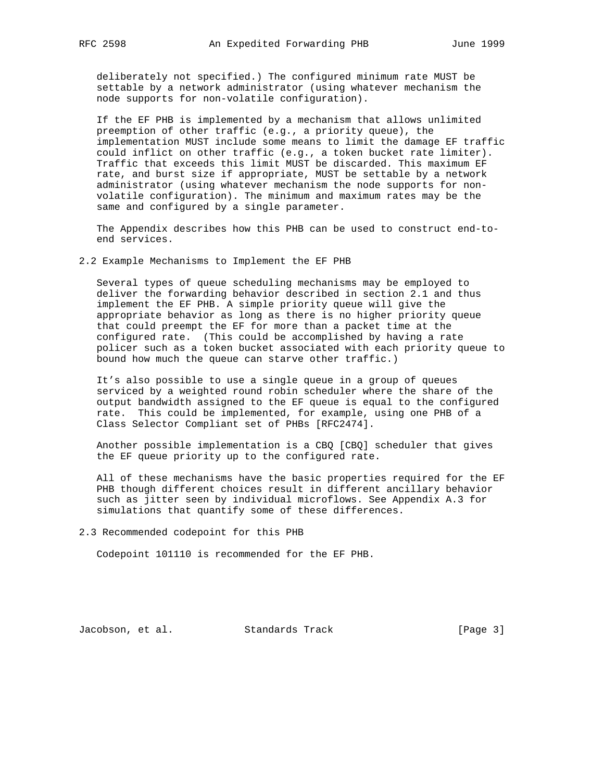deliberately not specified.) The configured minimum rate MUST be settable by a network administrator (using whatever mechanism the node supports for non-volatile configuration).

 If the EF PHB is implemented by a mechanism that allows unlimited preemption of other traffic (e.g., a priority queue), the implementation MUST include some means to limit the damage EF traffic could inflict on other traffic (e.g., a token bucket rate limiter). Traffic that exceeds this limit MUST be discarded. This maximum EF rate, and burst size if appropriate, MUST be settable by a network administrator (using whatever mechanism the node supports for non volatile configuration). The minimum and maximum rates may be the same and configured by a single parameter.

 The Appendix describes how this PHB can be used to construct end-to end services.

2.2 Example Mechanisms to Implement the EF PHB

 Several types of queue scheduling mechanisms may be employed to deliver the forwarding behavior described in section 2.1 and thus implement the EF PHB. A simple priority queue will give the appropriate behavior as long as there is no higher priority queue that could preempt the EF for more than a packet time at the configured rate. (This could be accomplished by having a rate policer such as a token bucket associated with each priority queue to bound how much the queue can starve other traffic.)

 It's also possible to use a single queue in a group of queues serviced by a weighted round robin scheduler where the share of the output bandwidth assigned to the EF queue is equal to the configured rate. This could be implemented, for example, using one PHB of a Class Selector Compliant set of PHBs [RFC2474].

 Another possible implementation is a CBQ [CBQ] scheduler that gives the EF queue priority up to the configured rate.

 All of these mechanisms have the basic properties required for the EF PHB though different choices result in different ancillary behavior such as jitter seen by individual microflows. See Appendix A.3 for simulations that quantify some of these differences.

2.3 Recommended codepoint for this PHB

Codepoint 101110 is recommended for the EF PHB.

Jacobson, et al. Standards Track [Page 3]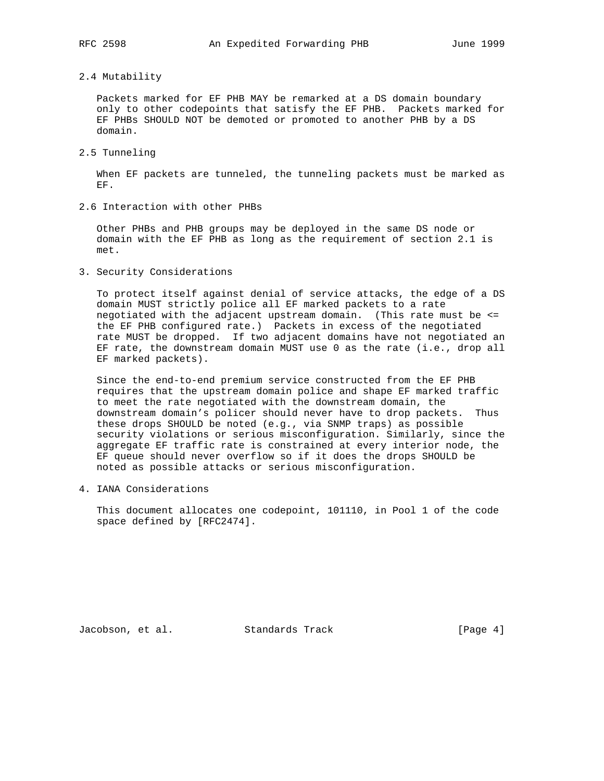# 2.4 Mutability

 Packets marked for EF PHB MAY be remarked at a DS domain boundary only to other codepoints that satisfy the EF PHB. Packets marked for EF PHBs SHOULD NOT be demoted or promoted to another PHB by a DS domain.

2.5 Tunneling

 When EF packets are tunneled, the tunneling packets must be marked as EF.

2.6 Interaction with other PHBs

 Other PHBs and PHB groups may be deployed in the same DS node or domain with the EF PHB as long as the requirement of section 2.1 is met.

3. Security Considerations

 To protect itself against denial of service attacks, the edge of a DS domain MUST strictly police all EF marked packets to a rate negotiated with the adjacent upstream domain. (This rate must be <= the EF PHB configured rate.) Packets in excess of the negotiated rate MUST be dropped. If two adjacent domains have not negotiated an EF rate, the downstream domain MUST use 0 as the rate (i.e., drop all EF marked packets).

 Since the end-to-end premium service constructed from the EF PHB requires that the upstream domain police and shape EF marked traffic to meet the rate negotiated with the downstream domain, the downstream domain's policer should never have to drop packets. Thus these drops SHOULD be noted (e.g., via SNMP traps) as possible security violations or serious misconfiguration. Similarly, since the aggregate EF traffic rate is constrained at every interior node, the EF queue should never overflow so if it does the drops SHOULD be noted as possible attacks or serious misconfiguration.

4. IANA Considerations

 This document allocates one codepoint, 101110, in Pool 1 of the code space defined by [RFC2474].

Jacobson, et al. Standards Track [Page 4]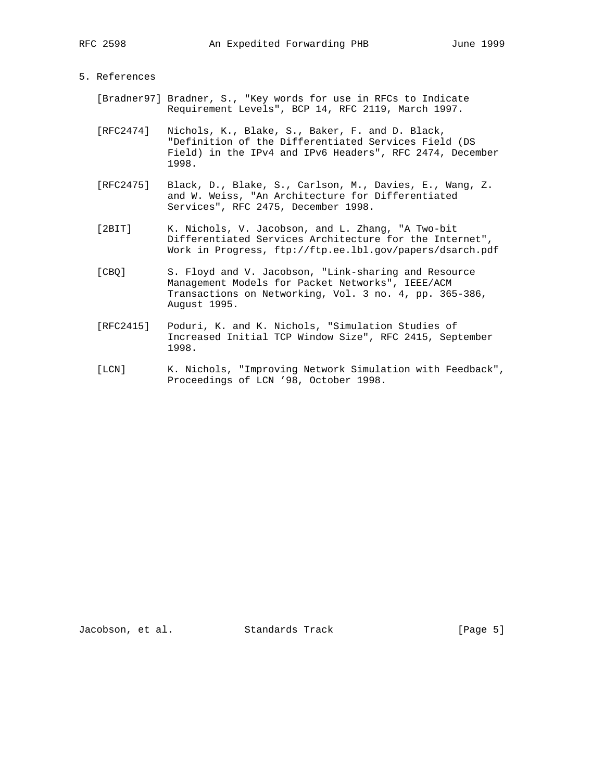# 5. References

- [Bradner97] Bradner, S., "Key words for use in RFCs to Indicate Requirement Levels", BCP 14, RFC 2119, March 1997.
- [RFC2474] Nichols, K., Blake, S., Baker, F. and D. Black, "Definition of the Differentiated Services Field (DS Field) in the IPv4 and IPv6 Headers", RFC 2474, December 1998.
- [RFC2475] Black, D., Blake, S., Carlson, M., Davies, E., Wang, Z. and W. Weiss, "An Architecture for Differentiated Services", RFC 2475, December 1998.
- [2BIT] K. Nichols, V. Jacobson, and L. Zhang, "A Two-bit Differentiated Services Architecture for the Internet", Work in Progress, ftp://ftp.ee.lbl.gov/papers/dsarch.pdf
- [CBQ] S. Floyd and V. Jacobson, "Link-sharing and Resource Management Models for Packet Networks", IEEE/ACM Transactions on Networking, Vol. 3 no. 4, pp. 365-386, August 1995.
- [RFC2415] Poduri, K. and K. Nichols, "Simulation Studies of Increased Initial TCP Window Size", RFC 2415, September 1998.
- [LCN] K. Nichols, "Improving Network Simulation with Feedback", Proceedings of LCN '98, October 1998.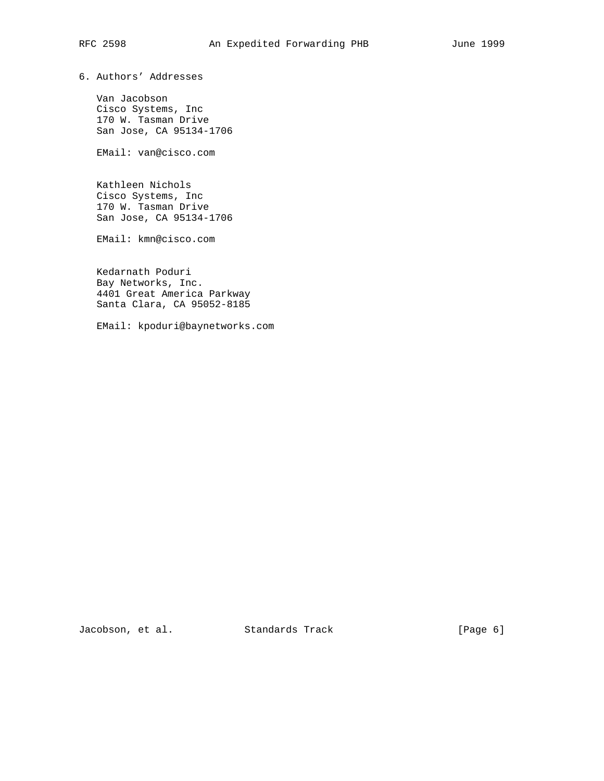6. Authors' Addresses

 Van Jacobson Cisco Systems, Inc 170 W. Tasman Drive San Jose, CA 95134-1706

EMail: van@cisco.com

 Kathleen Nichols Cisco Systems, Inc 170 W. Tasman Drive San Jose, CA 95134-1706

EMail: kmn@cisco.com

 Kedarnath Poduri Bay Networks, Inc. 4401 Great America Parkway Santa Clara, CA 95052-8185

EMail: kpoduri@baynetworks.com

Jacobson, et al. Standards Track [Page 6]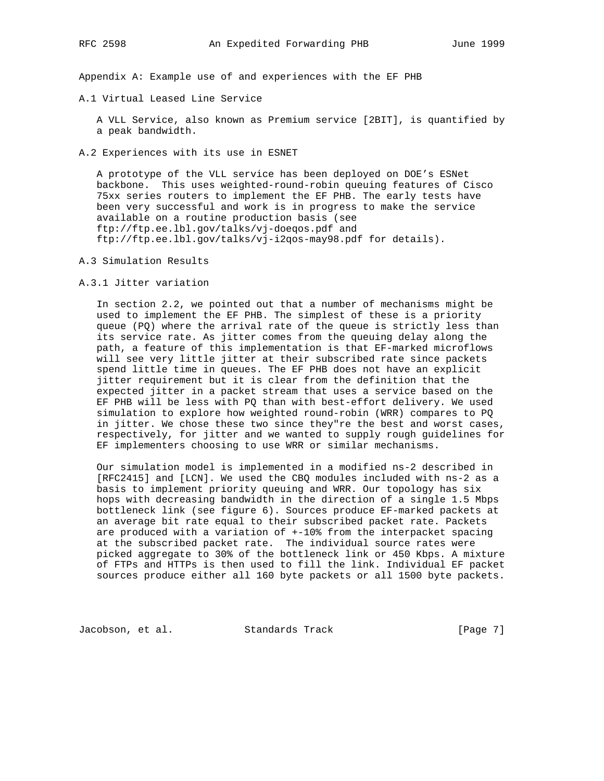Appendix A: Example use of and experiences with the EF PHB

A.1 Virtual Leased Line Service

 A VLL Service, also known as Premium service [2BIT], is quantified by a peak bandwidth.

A.2 Experiences with its use in ESNET

 A prototype of the VLL service has been deployed on DOE's ESNet backbone. This uses weighted-round-robin queuing features of Cisco 75xx series routers to implement the EF PHB. The early tests have been very successful and work is in progress to make the service available on a routine production basis (see ftp://ftp.ee.lbl.gov/talks/vj-doeqos.pdf and ftp://ftp.ee.lbl.gov/talks/vj-i2qos-may98.pdf for details).

- A.3 Simulation Results
- A.3.1 Jitter variation

 In section 2.2, we pointed out that a number of mechanisms might be used to implement the EF PHB. The simplest of these is a priority queue (PQ) where the arrival rate of the queue is strictly less than its service rate. As jitter comes from the queuing delay along the path, a feature of this implementation is that EF-marked microflows will see very little jitter at their subscribed rate since packets spend little time in queues. The EF PHB does not have an explicit jitter requirement but it is clear from the definition that the expected jitter in a packet stream that uses a service based on the EF PHB will be less with PQ than with best-effort delivery. We used simulation to explore how weighted round-robin (WRR) compares to PQ in jitter. We chose these two since they"re the best and worst cases, respectively, for jitter and we wanted to supply rough guidelines for EF implementers choosing to use WRR or similar mechanisms.

 Our simulation model is implemented in a modified ns-2 described in [RFC2415] and [LCN]. We used the CBQ modules included with ns-2 as a basis to implement priority queuing and WRR. Our topology has six hops with decreasing bandwidth in the direction of a single 1.5 Mbps bottleneck link (see figure 6). Sources produce EF-marked packets at an average bit rate equal to their subscribed packet rate. Packets are produced with a variation of +-10% from the interpacket spacing at the subscribed packet rate. The individual source rates were picked aggregate to 30% of the bottleneck link or 450 Kbps. A mixture of FTPs and HTTPs is then used to fill the link. Individual EF packet sources produce either all 160 byte packets or all 1500 byte packets.

Jacobson, et al. Standards Track [Page 7]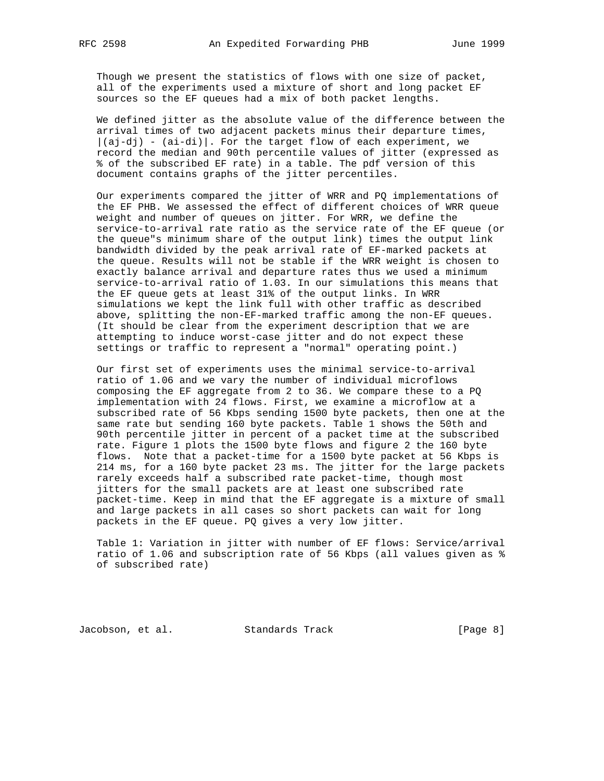Though we present the statistics of flows with one size of packet, all of the experiments used a mixture of short and long packet EF sources so the EF queues had a mix of both packet lengths.

 We defined jitter as the absolute value of the difference between the arrival times of two adjacent packets minus their departure times,  $|(aj-dj) - (ai-di)|$ . For the target flow of each experiment, we record the median and 90th percentile values of jitter (expressed as % of the subscribed EF rate) in a table. The pdf version of this document contains graphs of the jitter percentiles.

 Our experiments compared the jitter of WRR and PQ implementations of the EF PHB. We assessed the effect of different choices of WRR queue weight and number of queues on jitter. For WRR, we define the service-to-arrival rate ratio as the service rate of the EF queue (or the queue"s minimum share of the output link) times the output link bandwidth divided by the peak arrival rate of EF-marked packets at the queue. Results will not be stable if the WRR weight is chosen to exactly balance arrival and departure rates thus we used a minimum service-to-arrival ratio of 1.03. In our simulations this means that the EF queue gets at least 31% of the output links. In WRR simulations we kept the link full with other traffic as described above, splitting the non-EF-marked traffic among the non-EF queues. (It should be clear from the experiment description that we are attempting to induce worst-case jitter and do not expect these settings or traffic to represent a "normal" operating point.)

 Our first set of experiments uses the minimal service-to-arrival ratio of 1.06 and we vary the number of individual microflows composing the EF aggregate from 2 to 36. We compare these to a PQ implementation with 24 flows. First, we examine a microflow at a subscribed rate of 56 Kbps sending 1500 byte packets, then one at the same rate but sending 160 byte packets. Table 1 shows the 50th and 90th percentile jitter in percent of a packet time at the subscribed rate. Figure 1 plots the 1500 byte flows and figure 2 the 160 byte flows. Note that a packet-time for a 1500 byte packet at 56 Kbps is 214 ms, for a 160 byte packet 23 ms. The jitter for the large packets rarely exceeds half a subscribed rate packet-time, though most jitters for the small packets are at least one subscribed rate packet-time. Keep in mind that the EF aggregate is a mixture of small and large packets in all cases so short packets can wait for long packets in the EF queue. PQ gives a very low jitter.

 Table 1: Variation in jitter with number of EF flows: Service/arrival ratio of 1.06 and subscription rate of 56 Kbps (all values given as % of subscribed rate)

Jacobson, et al. Standards Track [Page 8]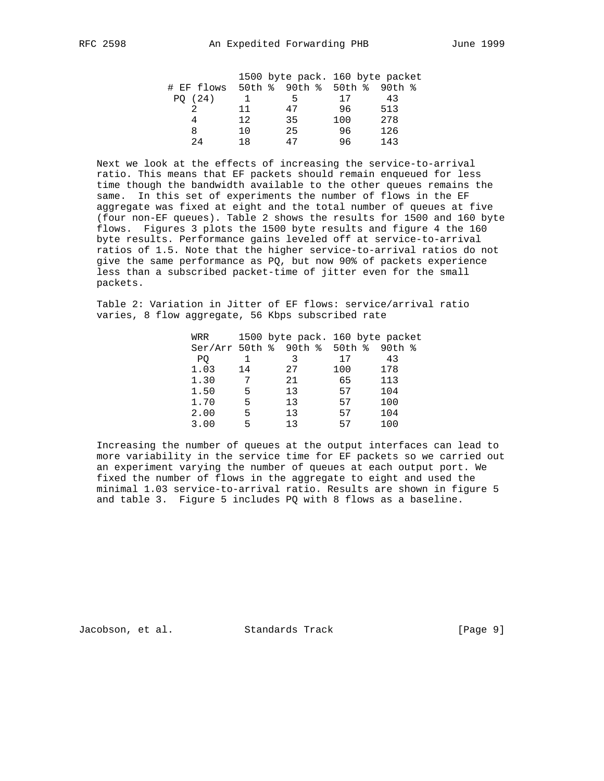|            |     |                      |     | 1500 byte pack. 160 byte packet |
|------------|-----|----------------------|-----|---------------------------------|
| # EF flows |     | 50th % 90th % 50th % |     | 90th %                          |
| PO(24)     |     | 5                    | 17  | 43                              |
|            | 11  | 47                   | 96  | 513                             |
|            | 12. | 35                   | 100 | 278                             |
| 8          | 10  | 25                   | 96  | 126                             |
| 2.4        | 1 R | 47                   | 96  | 143                             |

 Next we look at the effects of increasing the service-to-arrival ratio. This means that EF packets should remain enqueued for less time though the bandwidth available to the other queues remains the same. In this set of experiments the number of flows in the EF aggregate was fixed at eight and the total number of queues at five (four non-EF queues). Table 2 shows the results for 1500 and 160 byte flows. Figures 3 plots the 1500 byte results and figure 4 the 160 byte results. Performance gains leveled off at service-to-arrival ratios of 1.5. Note that the higher service-to-arrival ratios do not give the same performance as PQ, but now 90% of packets experience less than a subscribed packet-time of jitter even for the small packets.

 Table 2: Variation in Jitter of EF flows: service/arrival ratio varies, 8 flow aggregate, 56 Kbps subscribed rate

| WRR                            |    | 1500 byte pack. 160 byte packet |     |        |  |
|--------------------------------|----|---------------------------------|-----|--------|--|
| $Ser/Arr 50th$ % 90th % 50th % |    |                                 |     | 90th % |  |
| PO.                            |    |                                 | 17  | 43     |  |
| 1.03                           | 14 | 27                              | 100 | 178    |  |
| 1.30                           | 7  | 21                              | 65  | 113    |  |
| 1.50                           | 5  | 13                              | 57  | 104    |  |
| 1.70                           | 5  | 13                              | 57  | 100    |  |
| 2.00                           | 5  | 13                              | 57  | 104    |  |
| 3.00                           | 5  | 13                              | 57  | 100    |  |

 Increasing the number of queues at the output interfaces can lead to more variability in the service time for EF packets so we carried out an experiment varying the number of queues at each output port. We fixed the number of flows in the aggregate to eight and used the minimal 1.03 service-to-arrival ratio. Results are shown in figure 5 and table 3. Figure 5 includes PQ with 8 flows as a baseline.

Jacobson, et al. Standards Track [Page 9]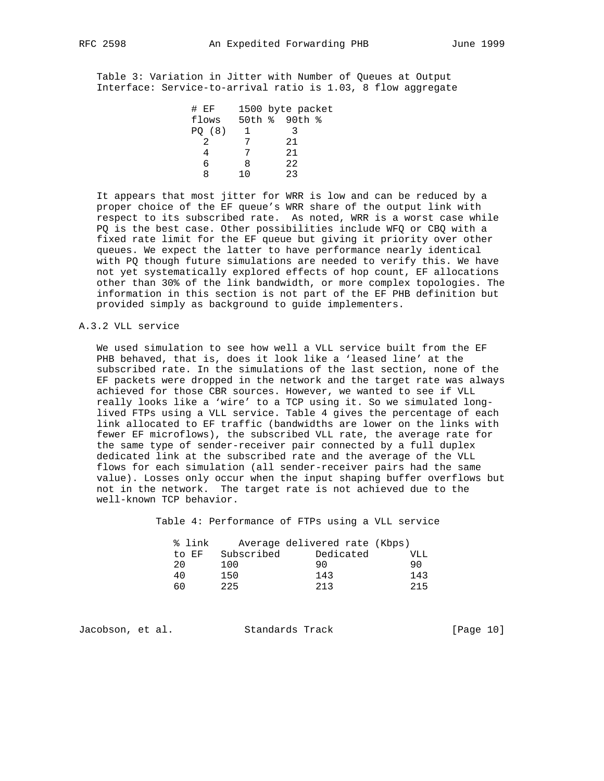Table 3: Variation in Jitter with Number of Queues at Output Interface: Service-to-arrival ratio is 1.03, 8 flow aggregate

| $\#$ EF |     | 1500 byte packet |
|---------|-----|------------------|
| flows   |     | 50th % 90th %    |
| PO (8)  |     |                  |
|         |     | 21               |
|         |     | 2.1              |
| ჩ       | Χ   | 22               |
|         | 1 በ | 23               |

 It appears that most jitter for WRR is low and can be reduced by a proper choice of the EF queue's WRR share of the output link with respect to its subscribed rate. As noted, WRR is a worst case while PQ is the best case. Other possibilities include WFQ or CBQ with a fixed rate limit for the EF queue but giving it priority over other queues. We expect the latter to have performance nearly identical with PQ though future simulations are needed to verify this. We have not yet systematically explored effects of hop count, EF allocations other than 30% of the link bandwidth, or more complex topologies. The information in this section is not part of the EF PHB definition but provided simply as background to guide implementers.

#### A.3.2 VLL service

 We used simulation to see how well a VLL service built from the EF PHB behaved, that is, does it look like a 'leased line' at the subscribed rate. In the simulations of the last section, none of the EF packets were dropped in the network and the target rate was always achieved for those CBR sources. However, we wanted to see if VLL really looks like a 'wire' to a TCP using it. So we simulated long lived FTPs using a VLL service. Table 4 gives the percentage of each link allocated to EF traffic (bandwidths are lower on the links with fewer EF microflows), the subscribed VLL rate, the average rate for the same type of sender-receiver pair connected by a full duplex dedicated link at the subscribed rate and the average of the VLL flows for each simulation (all sender-receiver pairs had the same value). Losses only occur when the input shaping buffer overflows but not in the network. The target rate is not achieved due to the well-known TCP behavior.

Table 4: Performance of FTPs using a VLL service

| % link |            | Average delivered rate (Kbps) |     |
|--------|------------|-------------------------------|-----|
| to EF  | Subscribed | Dedicated                     | VLL |
| 20     | 100        | 90                            | 90  |
| 40     | 150.       | 143                           | 143 |
|        | 225        | 213                           | 215 |

Jacobson, et al. Standards Track [Page 10]